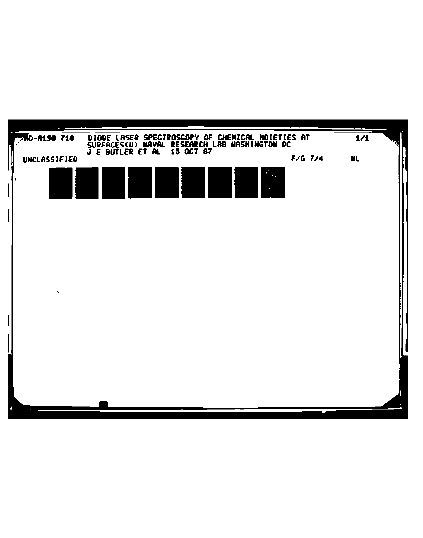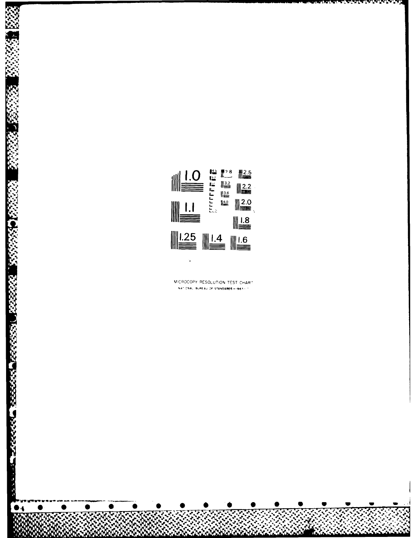

MICROCOPY RESOLUTION TEST CHART NAT ONAL BUREAU OF STANDARDS-1963-1

**TELLO DE L'ESPERANT DE L'ESPERANT DE L'ESPERANT DE L'ESPERANT DE L'ESPERANT DE L'ESPERANT DE L'ESPERANT DE L'E**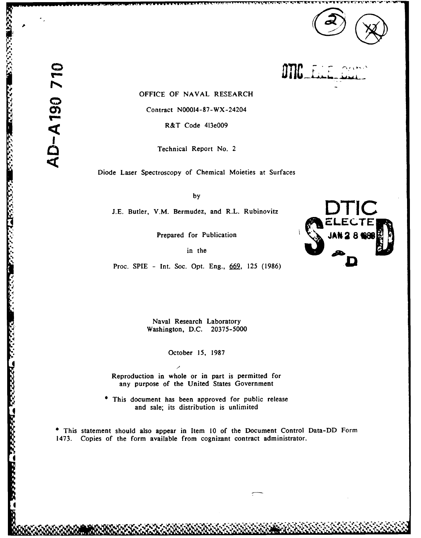**JANUARY AND ANGELES SEE ANGELES ANGELES SEE ANGELES SEE ANGELES SEE ANGELES SEE ANGELES SEE ANGELES SEE ANGELI** 

**I**

**I**



**OFFICE** OF **NAVAL** RESEARCH

**01)** Contract N00014-87-WX-24204

R&T Code 413e009

Technical Report No. 2

Diode Laser Spectroscopy of Chemical Moieties at Surfaces

by

**J.E. Butler, V.M. Bermudez, and R.L. Rubinovitz** 

Prepared for Publication

Proc. SPIE - Int. Soc. Opt. Eng., 669, 125 (1986)

Naval Research Laboratory Washington, D.C. 20375-5000

October **15,** 1987

Reproduction in whole or in part is permitted for any purpose of the United States Government

*/*

This document has been approved for public release and sale; its distribution is unlimited

This statement should also appear in Item **10** of the Document Control Data-DD Form 1473. Copies of the form available from cognizant contract administrator.

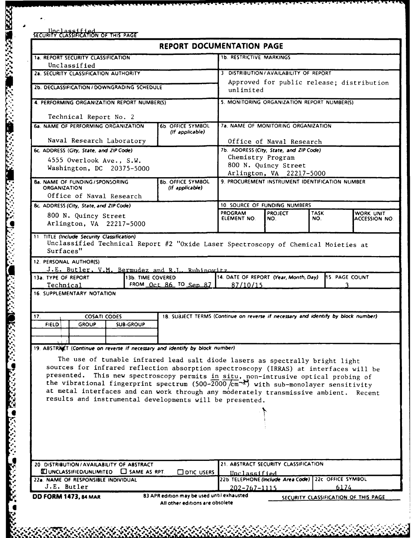|                                                                                                                                                                                                                                                                                                                                                                                                                                                                                                                 | <b>REPORT DOCUMENTATION PAGE</b>                                                  |                                                                                                              |                                                                                    |             |                        |  |
|-----------------------------------------------------------------------------------------------------------------------------------------------------------------------------------------------------------------------------------------------------------------------------------------------------------------------------------------------------------------------------------------------------------------------------------------------------------------------------------------------------------------|-----------------------------------------------------------------------------------|--------------------------------------------------------------------------------------------------------------|------------------------------------------------------------------------------------|-------------|------------------------|--|
| 1a. REPORT SECURITY CLASSIFICATION                                                                                                                                                                                                                                                                                                                                                                                                                                                                              |                                                                                   | <b>1b. RESTRICTIVE MARKINGS</b>                                                                              |                                                                                    |             |                        |  |
| Unclassified<br>2a. SECURITY CLASSIFICATION AUTHORITY                                                                                                                                                                                                                                                                                                                                                                                                                                                           |                                                                                   | 3 DISTRIBUTION/AVAILABILITY OF REPORT                                                                        |                                                                                    |             |                        |  |
|                                                                                                                                                                                                                                                                                                                                                                                                                                                                                                                 |                                                                                   | Approved for public release; distribution                                                                    |                                                                                    |             |                        |  |
| 2b. DECLASSIFICATION / DOWNGRADING SCHEDULE                                                                                                                                                                                                                                                                                                                                                                                                                                                                     |                                                                                   | unlimited                                                                                                    |                                                                                    |             |                        |  |
| 4. PERFORMING ORGANIZATION REPORT NUMBER(S)                                                                                                                                                                                                                                                                                                                                                                                                                                                                     |                                                                                   | 5. MONITORING ORGANIZATION REPORT NUMBER(S)                                                                  |                                                                                    |             |                        |  |
| Technical Report No. 2                                                                                                                                                                                                                                                                                                                                                                                                                                                                                          |                                                                                   |                                                                                                              |                                                                                    |             |                        |  |
| 6a. NAME OF PERFORMING ORGANIZATION                                                                                                                                                                                                                                                                                                                                                                                                                                                                             | <b>6b. OFFICE SYMBOL</b><br>(If applicable)                                       | 7a. NAME OF MONITORING ORGANIZATION<br>Office of Naval Research                                              |                                                                                    |             |                        |  |
| Naval Research Laboratory                                                                                                                                                                                                                                                                                                                                                                                                                                                                                       |                                                                                   |                                                                                                              |                                                                                    |             |                        |  |
| 6c. ADDRESS (City, State, and ZIP Code)                                                                                                                                                                                                                                                                                                                                                                                                                                                                         |                                                                                   | 7b. ADDRESS (City, State, and ZIP Code)                                                                      |                                                                                    |             |                        |  |
| 4555 Overlook Ave., S.W.<br>Washington, DC 20375-5000                                                                                                                                                                                                                                                                                                                                                                                                                                                           |                                                                                   | Chemistry Program                                                                                            |                                                                                    |             |                        |  |
|                                                                                                                                                                                                                                                                                                                                                                                                                                                                                                                 |                                                                                   |                                                                                                              | 800 N. Quincy Street                                                               |             |                        |  |
|                                                                                                                                                                                                                                                                                                                                                                                                                                                                                                                 |                                                                                   |                                                                                                              | Arlington, VA 22217-5000                                                           |             |                        |  |
| 8a. NAME OF FUNDING / SPONSORING<br><b>ORGANIZATION</b>                                                                                                                                                                                                                                                                                                                                                                                                                                                         | 8b. OFFICE SYMBOL<br>(If applicable)                                              | 9. PROCUREMENT INSTRUMENT IDENTIFICATION NUMBER                                                              |                                                                                    |             |                        |  |
| Office of Naval Research                                                                                                                                                                                                                                                                                                                                                                                                                                                                                        |                                                                                   | 10. SOURCE OF FUNDING NUMBERS                                                                                |                                                                                    |             |                        |  |
| 8c. ADDRESS (City, State, and ZIP Code)                                                                                                                                                                                                                                                                                                                                                                                                                                                                         |                                                                                   | <b>PROGRAM</b>                                                                                               | <b>PROJECT</b>                                                                     | <b>TASK</b> | WORK UNIT              |  |
| 800 N. Quincy Street<br>Arlington, VA 22217-5000                                                                                                                                                                                                                                                                                                                                                                                                                                                                |                                                                                   | ELEMENT NO.                                                                                                  | NO.                                                                                | NO.         | <b>ACCESSION NO.</b>   |  |
| Surfaces"<br>J.E. Butler, V.M. Bermudez and R.L. Rubinovitz<br>Technical                                                                                                                                                                                                                                                                                                                                                                                                                                        | 13b. TIME COVERED<br>FROM Oct 86 TO Sep 87                                        | 14. DATE OF REPORT (Year, Month, Day)<br>87/10/15                                                            | Unclassified Technical Report #2 "Oxide Laser Spectroscopy of Chemical Moieties at |             | <b>h</b> s. PAGE COUNT |  |
| <b>COSATI CODES</b><br><b>FIELD</b><br><b>GROUP</b><br><b>SUB-GROUP</b>                                                                                                                                                                                                                                                                                                                                                                                                                                         | 18. SUBJECT TERMS (Continue on reverse if necessary and identify by block number) |                                                                                                              |                                                                                    |             |                        |  |
| 12. PERSONAL AUTHOR(S)<br>13a. TYPE OF REPORT<br><b>16. SUPPLEMENTARY NOTATION</b><br>17 <sub>1</sub>                                                                                                                                                                                                                                                                                                                                                                                                           |                                                                                   |                                                                                                              |                                                                                    |             |                        |  |
| 19. ABSTRACT (Continue on reverse if necessary and identify by block number)                                                                                                                                                                                                                                                                                                                                                                                                                                    |                                                                                   |                                                                                                              |                                                                                    |             |                        |  |
| The use of tunable infrared lead salt diode lasers as spectrally bright light<br>sources for infrared reflection absorption spectroscopy (IRRAS) at interfaces will be<br>presented. This new spectroscopy permits in situ, non-intrusive optical probing of<br>the vibrational fingerprint spectrum $(500 - 2000 \text{ cm}^{-1})$ with sub-monolayer sensitivity<br>at metal interfaces and can work through any moderately transmissive ambient.<br>results and instrumental developments will be presented. |                                                                                   |                                                                                                              |                                                                                    |             | Recent                 |  |
| 20. DISTRIBUTION / AVAILABILITY OF ABSTRACT<br>$\boxtimes$ UNCLASSIFIED/UNLIMITED $\Box$ SAME AS RPT.<br>22a. NAME OF RESPONSIBLE INDIVIDUAL                                                                                                                                                                                                                                                                                                                                                                    | $\Box$ otic users                                                                 | 21. ABSTRACT SECURITY CLASSIFICATION<br>Unclassified<br>22b. TELEPHONE (Include Area Code) 22c OFFICE SYMBOL |                                                                                    |             |                        |  |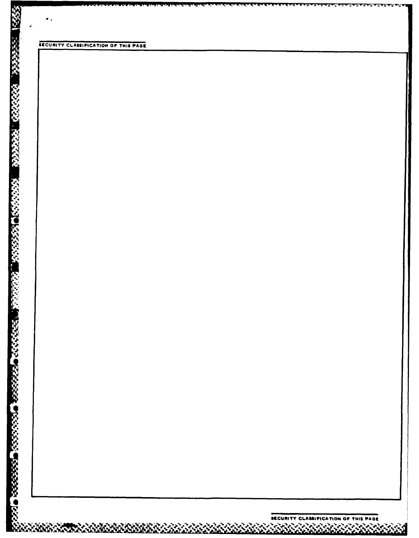SECURITY CLASSIFICATION OF THIS PAGE

223

33.33

ķ.

888888 CEEEE

333333

3333

 $\bullet$ .

क*र* कार्य कार्य कार्य कार्य

SECURITY CLASSIFICATION OF THIS PAGE 1999-1999-1999-1999-1999-1999-1999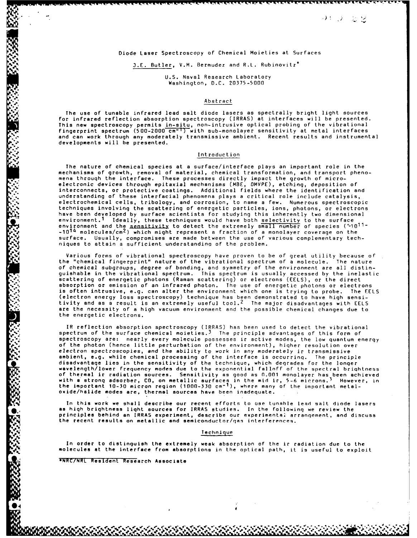## Diode Laser Spectroscopy **of** Chemical Moieties at Surfaces

J.E. Butler, V.M. Bermudez and R.L. Rubinovitz\*

#### U.S. Naval Research Laboratory Washington, D.C. 20375-5000

## Abstract

The use of tunable infrared lead salt diode lasers as spectrally bright light sources for infrared reflection absorption spectroscopy (IRRAS) at interfaces will be presented. This new spectroscopy permits in-situ, non-intrusive optical probing of the vibrational fingerprint spectrum (500-2000 cm-') with sub-monolayer sensitivity at metal interfaces and can work through any moderately transmissive ambient. Recent results and instrumental developments will be presented.

## Int roduct ion

The nature of chemical species at a surface/interface plays an important role in the<br>mechanisms of growth, removal of material, chemical transformation, and transport phenomechanisms of grown, remove and these processes directly impact the growth of microelectronic devices through epitaxial mechanisms (MBE, OMYPE), etching, deposition of interconnects, or protective coatings. Additional fields where the identification and understanding of these interfacial phenomena plays a critical role include catalysis, electrochemical cells, tribology, and corrosion, to name a few. Numerous spectroscopic techniques involving the scattering of energetic particles, ions, photons, or electrons have been developed **by** surface scientists for studying this inherently two dimensional environment.1 Ideally, these techniques would have both selectivity to the surface environment and the sensitivity to detect the extremely small number of species  $(\sqrt{10^{11}-10^{11}})^2$ -10<sup>14</sup> molecules/cm<sup>2</sup>) which might represent a fraction of a monolayer coverage on the surface. Usually, compromises are made between the use of various complementary techniques to attain a sufficient understandino of the problem.

Various forms of vibrational spectroscopy have proven to be of great utility because of the "chemical fingerprint" nature of the vibrational spectrum of a molecule. The nature of chemical subgroups, degree of bonding, and symmetry of the environment are all distinguishable in the vibrational spectrum. This spectrum is usually accessed by the inelastic scattering of energetic photons (Raman scattering) or electrons **(EELS),** or the direct absorption or emission of an infrared photon. The use of energetic photons or electrons is often intrusive, e.g. can alter the environment which one is trying to probe. The EELS (electron energy loss spectroscopy) technique has been demonstrated to have high sensi-<br>tivity and as a result is an extremely useful tool.<sup>2</sup> The major disadvantages with EELS are the necessity **of** a high vacuum environment and the possible chemical changes due to the energetic electrons.

IR reflection absorption spectroscopy (IRRAS) has been used to detect the vibrational spectrum of the surface chemical moieties.<sup>3</sup> The principle advantages of this form of spectroscopy are: nearly every molecule possesses ir active modes, the low quantum energy of the photon (hence little perturbation of the environment), higher resolution over<br>electron spectroscopies, and the ability to work in any moderately ir transmissive ambient, e.g. while chemical processing of the interface is occurring. The principle disadvantage lies in the sensitivity of the technique, which degrades for the longer wavelength/lower frequency modes due to the exponential falloff of the spectral briqhtness of thermal ir radiation sources. Sensitivity as good as 0.001 monolayer has been achieved with a strong adsorber, **CO, on** metallic surfaces in the mid ir, **5-6** microns. 3 However, in the important **10-30** micron region (1000-330 cm- <sup>1</sup> ), where many of the important metaloxide/halide modes are, thermal sources have been inadequate.

In this work we shall describe our recent efforts to **ose** tunnhle lead salt diode lasers **as high** brightness light sources for IRRAS studies. In the following we review the principles behind an IRRAS experiment, describe our experimental arrangement, and discuss the recent results on metallic end semiconductor/qan interferences.

### Technique

In order to distinguish the extremely weak absorption of the ir radiation due to the molecules at the interface from absorptions in the optical path, it is useful to exploit

\*NRC/NRL Resident Research Associate

@4 <sup>9</sup>**4**

1.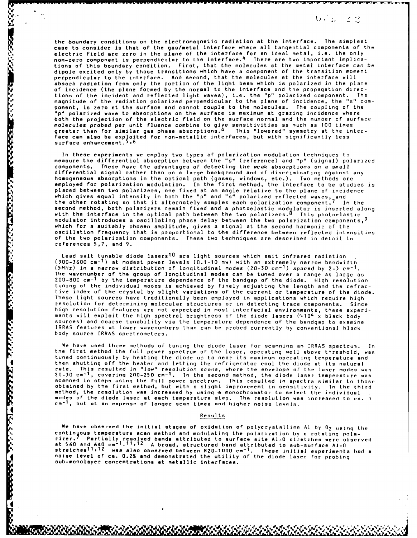the boundary conditions on the electromagnetic radiation at the interface. The simplest<br>
case to consider is that of the gas/metal interface where all tangential components of the simplest<br>
case to consider is that of the case to consider is that of the gas/metal interface where all tangential components of the tions of this boundary condition. First, that the molecules at the metal interface **can** be dipole excited only **by** those transitions which have a component of the transition moment perpendicular to the interface. And second, that the molecules at the interface will absorb radiation from only the portion of the light beam which is polarized in the plane of incidence (the plane formed by the normal to the interface and the propagation direcebooth radiation from only the portion of the light beam which is polarized in the plane<br>
of incidence (the plane formed by the normal to the interface and the propagation direc-<br>
tions of the incident and reflected light magnitude of the radiation polarized perpendicular to the plane of incidence, the "s" component, is zero at the surface and cannot couple to the molecules. The coupling of the **"p"** polarized wave to absorptions on the surface is maximum at grazing incidence where both the projection of the electric field on the surface normal and the number of surface molecules probed per unit fluence combine to **give** sensitivities as much as **100** times greater than for similar gas phase absorptions. $^4\quad$  This "lowered" symmetry at the interface can also be exploited for non-metallic interfaces, but with significantly less surface enhancement.<sup>5</sup> , <sup>6</sup>

In these experiments we employ two types of polarization modulation techniques to measure the differential absorption between the "s" (reference) and "p" (signal) polarized components. These have the advantages of detecting the weak absorptions on a small differential signal rather than on a large background and of discriminating against any homogeneous absorptions in the optical path (gases, windows, etc.). Two methods are employed for polarization modulation. In the first method, the interface to be studied is placed between two polarizers, one fixed at an angle relative to the plane of incidence which gives equal intensity in both the "p" and "s" polarized reflected waves, and the other rotating so that it alternately samples each polarization component. 7 In the second method, both polarizers remain fixed and a photoelastic modulator is inserted along with the interface in the optical path between the two polarizers.<sup>8</sup> This photoelastic modulator introduces a oscillating phase delay between the two polarization components, <sup>9</sup> which for a suitably chosen amplitude, gives a signal at the second harmonic of the oscillation frequency that is proportional to the difference between reflected intensities of the two polarization components. These two techniques are described in detail in references 5,7, and **9.**

**WARRAND DESCRIPTION** 

**Brookly** 

Lead salt tunable diode lasers<sup>10</sup> are light sources which emit infrared radiation (300-3600 cm -1 ) at modest power levels **(0.1-10** mw) with an extremely narrow bandwidth  $(5MPz)$  in a narrow distribution of longitudinal modes  $(20-30 \text{ cm}^{-1})$  spaced by  $2-3 \text{ cm}^{-1}$ . The wavenumber of the group of longitudinal modes can be tuned over a range as large as 200-800 cm<sup>-1</sup> by the temperature dependence of the bandgap of the diode. High resolution tuning of the individual modes is achieved by finely adjusting the length and the refractive index of the crystal by slight variations of the current or temperature of the diode.<br>These light sources have traditionally been employed in applications which require high resolution for determining molecular structures or in detecting trace components. Since<br>resolution for determining molecular structures or in detecting trace components, these experihigh resolution features are not expected in most interfacial environments, these experi-<br>ments will exploit the high spectral brightness of the diode lasers ( $\sim 10^4$  x black body sources) and coarse tunability via the temperature dependence of the bandqap to examine IRRAS features at lower wavenumbers than can be probed currently by conventional black body source IRRAS spectrometers.

We have used three methods of tuning the diode laser for scanning an IRRAS spectrum. In the first method the full power spectrum of the laser, operating well above threshold, was tuned continuously by heating the diode up to near its maximum operating temperature and then shutting off the heater and letting the refrigerator cool the diode at its natural<br>rate. This resulted in "low" resolution scans, where the envelope of the laser modes was racc. This resulted in the reso*lution* stand, while the envelope of the laser modes was<br>20-30 cm<sup>-1</sup>, covering 200-250 cm<sup>-1</sup>. In the second method, the diode laser temperature was scanned in steps using the full power spectrum. This resulted in spectra similar to those obtained by the first method, hut with a slight improvement in sensitivity. In the third method, the resolution was increased hy using **a** monochromator to select the individual modes of'the diode laser at each temperature step. The resolution was increased to ca. 3 rate. This resulted in "low" resolution scans, where the envelope of<br>
20-30 cm-1, covering 200-250 cm-1, In the second method, the diode<br>
scanned in steps using the full power spectrum. This resulted in spec<br>
obtained by t

## Results

We have observed the initial stages of oxidation of polycrystalline Al by 0<sub>2</sub> using the continuous temperature scan method and modulating the polarization **by** a rotating polarizer. 7 Partially resolved bands attributed to surface site **Al-O** stretches were observed at **560** and 640 cm- <sup>1</sup> .1 <sup>1</sup> ,<sup>1</sup> 2 A broad, structured band attributed to auh-surface **AI-O** stretchea<sup>1</sup> <sup>1</sup> <sup>1</sup> 2 was also observed between 820-1000 cm - <sup>1</sup> . These initial experiments **had** <sup>a</sup> noise level of **ca.** 0.2% and demonstrated the utility **of** the diode laser for probing sub-monolayer concentrations at metallic interfaces.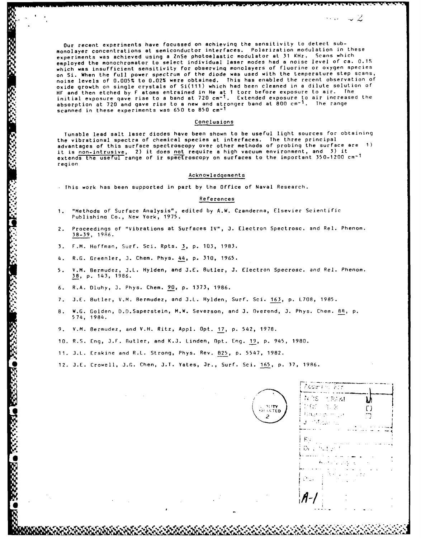Our recent experiments have focussed on achieving the sensitivity to detect submonolayer concentrations at semiconductor interfaces. Polarization modulation in these experiments was achieved using a ZnSe photoelastic modulator at **31** KHz. Scans which employed the monochromator to select individual laser modes had **a** noise level of ca. **0.1%** which was insufficient sensitivity for observing monolayers of fluorine or oxygen species on Si. When the full power spectrum of the diode was used with the temperature step scans, noise levels of 0.005% to 0.02% were obtained. This has enabled the recent observation of oxide growth on single crystals of Si(111) which had been cleaned in a dilute solution of HF and then etched by F atoms entrained in He at **1** torr before exposure to air. The initial exposure gave rise to **a** band at **720** cm- <sup>1</sup> . Extended exposure to air increased the absorption at 720 and gave rise to a new and stronger band at 800 cm<sup>-1</sup>. The range scanned in these experiments was 650 to 850 cm-1

 $\sim z^{\prime}$ 

e al sua

#### Conclusions

Tunable lead salt laser diodes have been shown to be useful light sources for obtaining the vibrational spectra of chemical species at interfaces. The three principal advantages of this surface spectroscopy over other methods of probing the surface are **1)** it is non-intrusive, 2) it does not require a high vacuum environment, and **3)** it extends the useful range of ir spectroscopy on surfaces to the important 350-1200 cm-1 region

#### Acknowledgements

\* This work has been supported in part **by** the Office of Naval Research.

#### References

- **1.** "Methods of Surface Analysis", edited by A.W. Czanderna, Elsevier Scientific Publishina Co., New York, 1975.
- 2. Proceedings of "Vibrations at Surfaces IV", **3.** Electron Spectrosc. and Rel. Phenom. 38-39, 1986.
- " 3. F.M. Hoffman, Surf. Sci. Rpts. **3,** p. 103, **1983.**
- 4. R.G. Greenler, **3.** Chem. Phys. 44, **p.** 310, 1965.
- 5. V.M. Bermudez, 3.L. Hylden, and 3.E. Butler, **J.** Electron Specrosc. and Rel. Phenom. **38,** p. 143, **1986.**
- 6. R.A. Oluhy, **J.** Phys. Chem. **90,** p. **1373,** 1986.

**Access of Second States** 

- 7. **J.E.** Butler, V.M. Bermudez, and 3.1. Hylden, Surf. Sci. 163, p. **L708,** 1985.
- **8.** W.G. Golden, D.D.Saperstein, M.W. Severson, and **3.** Overend, **J.** Phys. Chem. **88,** p. 574, 1984.
- **9.** V.M. Bermudez, and V.H. Ritz, **AppI.** Opt. **17, p.** 542, **1978.**
- **10.** R.S. Eng, 3.F. Butler, and K.3. Linden, Opt. Eng. **19,** p. 945, **1980.**
- 11. 3.L. Erskine and R.L. Strong, Phys. Rev. B25, **p.** 5547, **1982.**
- 12. 3.E. Crowell, 3.G. Chen, **J.T.** Yates, Jr., Surf. Sci. 165, p. **37,** 1986.

| $\bullet$<br>$\sim$ |        | VSI LOTED<br>$\overline{c}$ | Accentic Fir<br>$10.78 - 1.76$<br>frek alk<br>l Baurroch Lir<br>function of                                                                                                                         |
|---------------------|--------|-----------------------------|-----------------------------------------------------------------------------------------------------------------------------------------------------------------------------------------------------|
|                     |        |                             | $\mathcal{E}[\mathcal{E}_{\text{max}}]$<br>the communication<br>i de cinatorir<br>$\label{eq:reduced} \mathcal{L}(\mathcal{A}(\omega,t),\mathcal{I}(\omega,\omega,\xi),\chi) = \mathcal{L}(\omega)$ |
|                     |        |                             | $\mathcal{O}(\omega)$ .                                                                                                                                                                             |
| $\sim$              | $\sim$ |                             |                                                                                                                                                                                                     |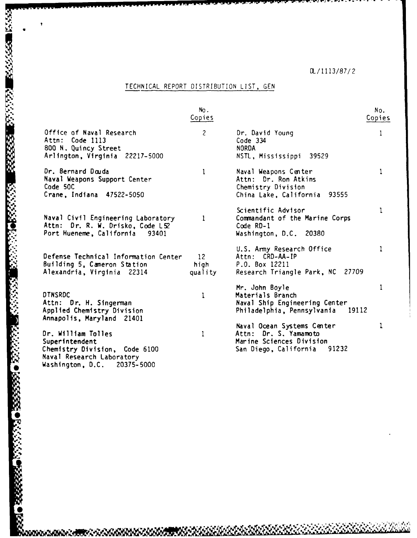$Q/1113/87/2$ 

# TECHNICAL REPORT DISTRIBUTION LIST, GEN

● 1999年の第2回の 1999年の1999年

33333903334

|                                                                                           | Copies          |                                                      |
|-------------------------------------------------------------------------------------------|-----------------|------------------------------------------------------|
| Office of Naval Research<br>Attn: Code 1113<br>800 N. Quincy Street                       | $\overline{c}$  | Dr. David Young<br>Code 334<br><b>NORDA</b>          |
| Arlington, Virginia 22217-5000                                                            |                 | NSTL, Mississippi 39529                              |
| Dr. Bernard Douda<br>Naval Weapons Support Center                                         | $\mathbf{1}$    | Naval Weapons Center<br>Attn: Dr. Ron Atkins         |
| Code 50C                                                                                  |                 | Chemistry Division                                   |
| Crane, Indiana 47522-5050                                                                 |                 | China Lake, California 93555                         |
| Naval Civil Engineering Laboratory                                                        | 1               | Scientific Advisor<br>Commandant of the Marine Corps |
| Attn: Dr. R. W. Drisko, Code L52<br>Port Hueneme, California 93401                        |                 | Code RD-1<br>Washington, D.C. 20380                  |
|                                                                                           |                 | U.S. Army Research Office                            |
| Defense Technical Information Center                                                      | 12 <sup>2</sup> | Attn: CRD-AA-IP                                      |
| Building 5, Cameron Station<br>Alexandria, Virginia 22314                                 | high<br>quality | P.O. Box 12211<br>Research Triangle Park, NC 27709   |
|                                                                                           |                 | Mr. John Boyle                                       |
| <b>DTNSRDC</b><br>Attn: Dr. H. Singerman                                                  | 1               | Materials Branch<br>Naval Ship Engineering Center    |
| Applied Chemistry Division<br>Annapolis, Maryland 21401                                   |                 | 19112<br>Philadelphia, Pennsylvania                  |
| Dr. William Tolles                                                                        | 1               | Naval Ocean Systems Center<br>Attn: Dr. S. Yamamoto  |
| Superintendent                                                                            |                 | Marine Sciences Division                             |
| Chemistry Division, Code 6100<br>Naval Research Laboratory<br>Washington, D.C. 20375-5000 |                 | San Diego, California<br>91232                       |
|                                                                                           |                 |                                                      |
|                                                                                           |                 |                                                      |
|                                                                                           |                 |                                                      |
|                                                                                           |                 |                                                      |
|                                                                                           |                 |                                                      |
|                                                                                           |                 |                                                      |
|                                                                                           |                 |                                                      |
|                                                                                           |                 |                                                      |
|                                                                                           |                 |                                                      |
|                                                                                           |                 |                                                      |
|                                                                                           |                 |                                                      |